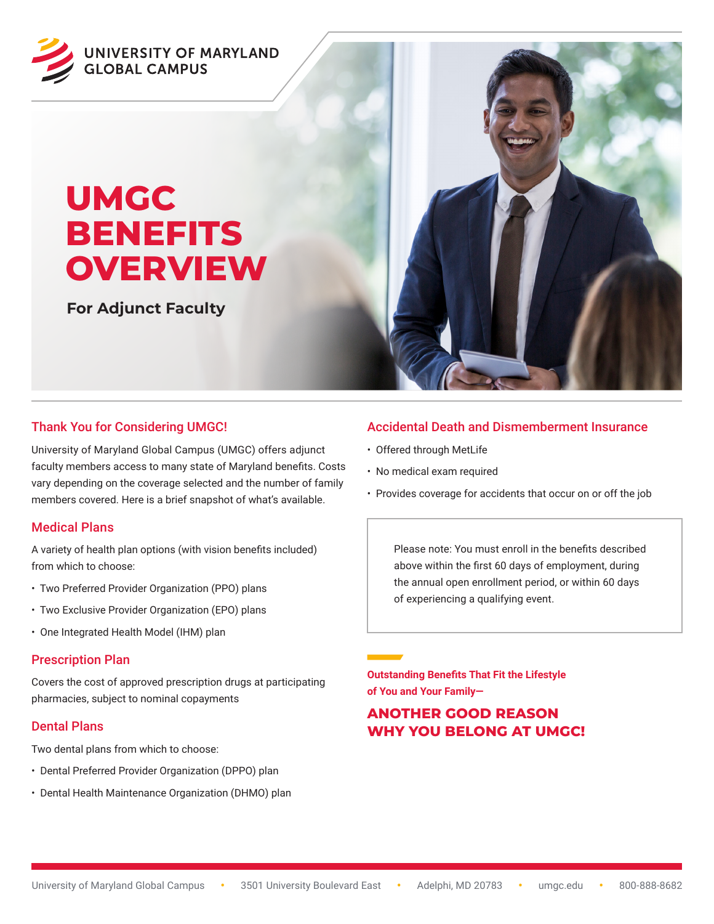

# **UMGC BENEFITS OVERVIEW**

**For Adjunct Faculty**



# Thank You for Considering UMGC!

University of Maryland Global Campus (UMGC) offers adjunct faculty members access to many state of Maryland benefits. Costs vary depending on the coverage selected and the number of family members covered. Here is a brief snapshot of what's available.

# Medical Plans

A variety of health plan options (with vision benefits included) from which to choose:

- Two Preferred Provider Organization (PPO) plans
- Two Exclusive Provider Organization (EPO) plans
- One Integrated Health Model (IHM) plan

#### Prescription Plan

Covers the cost of approved prescription drugs at participating pharmacies, subject to nominal copayments

# Dental Plans

Two dental plans from which to choose:

- Dental Preferred Provider Organization (DPPO) plan
- Dental Health Maintenance Organization (DHMO) plan

# Accidental Death and Dismemberment Insurance

- Offered through MetLife
- No medical exam required
- Provides coverage for accidents that occur on or off the job

Please note: You must enroll in the benefits described above within the first 60 days of employment, during the annual open enrollment period, or within 60 days of experiencing a qualifying event.

**Outstanding Benefits That Fit the Lifestyle of You and Your Family—**

# **ANOTHER GOOD REASON WHY YOU BELONG AT UMGC!**